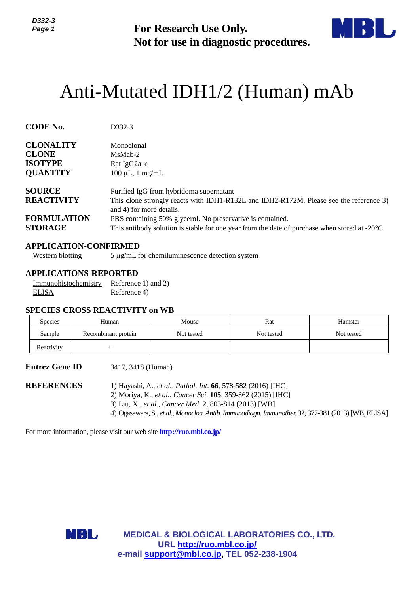

# Anti-Mutated IDH1/2 (Human) mAb

| נ-גננע<br>Page 1                                                           |                                                                     | <b>For Research Use Only.</b><br>Not for use in diagnostic procedures.                                                                                                                                                                                                                                                                 |                   |                       |  |  |  |
|----------------------------------------------------------------------------|---------------------------------------------------------------------|----------------------------------------------------------------------------------------------------------------------------------------------------------------------------------------------------------------------------------------------------------------------------------------------------------------------------------------|-------------------|-----------------------|--|--|--|
|                                                                            |                                                                     | Anti-Mutated IDH1/2 (Human) mAb                                                                                                                                                                                                                                                                                                        |                   |                       |  |  |  |
| <b>CODE No.</b>                                                            | D332-3                                                              |                                                                                                                                                                                                                                                                                                                                        |                   |                       |  |  |  |
| <b>CLONALITY</b><br><b>CLONE</b><br><b>ISOTYPE</b><br><b>QUANTITY</b>      | MsMab-2                                                             | Monoclonal<br>Rat IgG2a K<br>$100 \mu L$ , 1 mg/mL                                                                                                                                                                                                                                                                                     |                   |                       |  |  |  |
| <b>SOURCE</b><br><b>REACTIVITY</b><br><b>FORMULATION</b><br><b>STORAGE</b> |                                                                     | Purified IgG from hybridoma supernatant<br>This clone strongly reacts with IDH1-R132L and IDH2-R172M. Please see the reference 3)<br>and 4) for more details.<br>PBS containing 50% glycerol. No preservative is contained.<br>This antibody solution is stable for one year from the date of purchase when stored at $-20^{\circ}$ C. |                   |                       |  |  |  |
| <b>Western blotting</b>                                                    | <b>APPLICATION-CONFIRMED</b>                                        | 5 μg/mL for chemiluminescence detection system                                                                                                                                                                                                                                                                                         |                   |                       |  |  |  |
| Immunohistochemistry<br><b>ELISA</b>                                       | <b>APPLICATIONS-REPORTED</b><br>Reference 1) and 2)<br>Reference 4) |                                                                                                                                                                                                                                                                                                                                        |                   |                       |  |  |  |
|                                                                            | <b>SPECIES CROSS REACTIVITY on WB</b>                               |                                                                                                                                                                                                                                                                                                                                        |                   |                       |  |  |  |
| <b>Species</b><br>Sample                                                   | Human<br>Recombinant protein                                        | Mouse<br>Not tested                                                                                                                                                                                                                                                                                                                    | Rat<br>Not tested | Hamster<br>Not tested |  |  |  |
| Reactivity                                                                 | $\! + \!\!\!\!$                                                     |                                                                                                                                                                                                                                                                                                                                        |                   |                       |  |  |  |
| <b>Entrez Gene ID</b>                                                      | 3417, 3418 (Human)                                                  |                                                                                                                                                                                                                                                                                                                                        |                   |                       |  |  |  |
| <b>REFERENCES</b>                                                          |                                                                     | 1) Hayashi, A., et al., Pathol. Int. 66, 578-582 (2016) [IHC]<br>2) Moriya, K., et al., Cancer Sci. 105, 359-362 (2015) [IHC]<br>3) Liu, X., et al., Cancer Med. 2, 803-814 (2013) [WB]<br>4) Ogasawara, S., et al., Monoclon. Antib. Immunodiagn. Immunother. 32, 377-381 (2013) [WB, ELISA]                                          |                   |                       |  |  |  |
|                                                                            |                                                                     | For more information, please visit our web site <b>http://ruo.mbl.co.jp/</b>                                                                                                                                                                                                                                                           |                   |                       |  |  |  |
|                                                                            |                                                                     |                                                                                                                                                                                                                                                                                                                                        |                   |                       |  |  |  |
|                                                                            |                                                                     |                                                                                                                                                                                                                                                                                                                                        |                   |                       |  |  |  |
|                                                                            | MBL                                                                 | <b>MEDICAL &amp; BIOLOGICAL LABORATORIES CO., LTD.</b><br>URL http://ruo.mbl.co.jp/<br>e-mail support@mbl.co.jp, TEL 052-238-1904                                                                                                                                                                                                      |                   |                       |  |  |  |

## **APPLICATION-CONFIRMED**

## **APPLICATIONS-REPORTED**

#### **SPECIES CROSS REACTIVITY on WB**

| <b>Species</b> | Human               | Mouse      | Rat        | Hamster    |
|----------------|---------------------|------------|------------|------------|
| Sample         | Recombinant protein | Not tested | Not tested | Not tested |
| Reactivity     |                     |            |            |            |

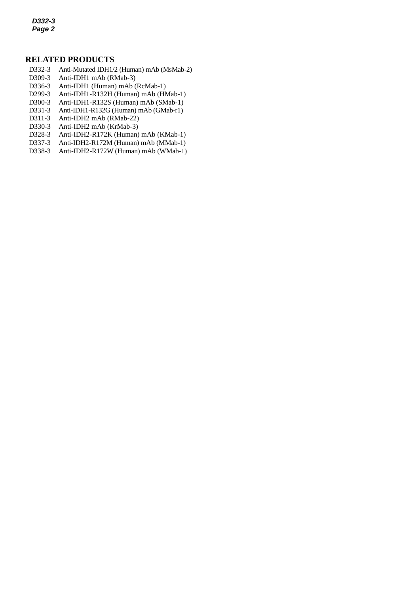*D332-3 Page 2*

## **RELATED PRODUCTS**

- D332-3 Anti-Mutated IDH1/2 (Human) mAb (MsMab-2)
- *2* D309-3 Anti-IDH1 mAb (RMab-3)
- D336-3 Anti-IDH1 (Human) mAb (RcMab-1)
- D299-3 Anti-IDH1-R132H (Human) mAb (HMab-1)
- D300-3 Anti-IDH1-R132S (Human) mAb (SMab-1)
- D331-3 Anti-IDH1-R132G (Human) mAb (GMab-r1)
- D311-3 Anti-IDH2 mAb (RMab-22)
- D330-3 Anti-IDH2 mAb (KrMab-3)
- D328-3 [Anti-IDH2-R172K](http://ruo.mbl.co.jp/dtl/A/D328-3/) (Human) mAb (KMab-1)
- D337-3 Anti-IDH2-R172M (Human) mAb (MMab-1)
- D338-3 Anti-IDH2-R172W (Human) mAb (WMab-1)